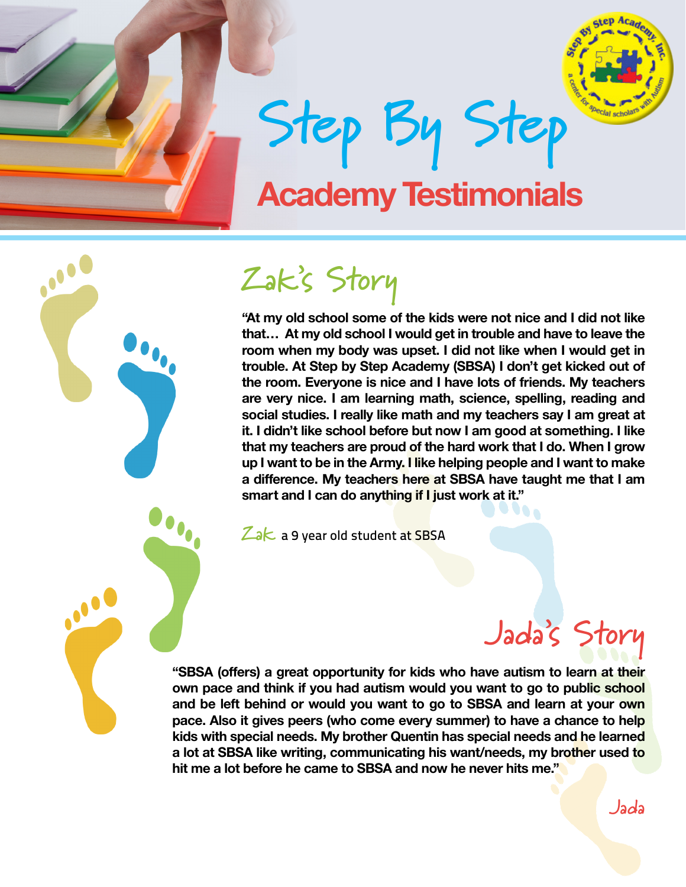

**Step By Step Academy Testimonials**



# **Zak's Story**

**"At my old school some of the kids were not nice and I did not like that… At my old school I would get in trouble and have to leave the room when my body was upset. I did not like when I would get in trouble. At Step by Step Academy (SBSA) I don't get kicked out of the room. Everyone is nice and I have lots of friends. My teachers are very nice. I am learning math, science, spelling, reading and social studies. I really like math and my teachers say I am great at it. I didn't like school before but now I am good at something. I like that my teachers are proud of the hard work that I do. When I grow up I want to be in the Army. I like helping people and I want to make a difference. My teachers here at SBSA have taught me that I am smart and I can do anything if I just work at it."** 

Zak a 9 year old student at SBSA

# **Jada's Story**

**Jada**

**"SBSA (offers) a great opportunity for kids who have autism to learn at their own pace and think if you had autism would you want to go to public school and be left behind or would you want to go to SBSA and learn at your own pace. Also it gives peers (who come every summer) to have a chance to help kids with special needs. My brother Quentin has special needs and he learned a lot at SBSA like writing, communicating his want/needs, my brother used to hit me a lot before he came to SBSA and now he never hits me."**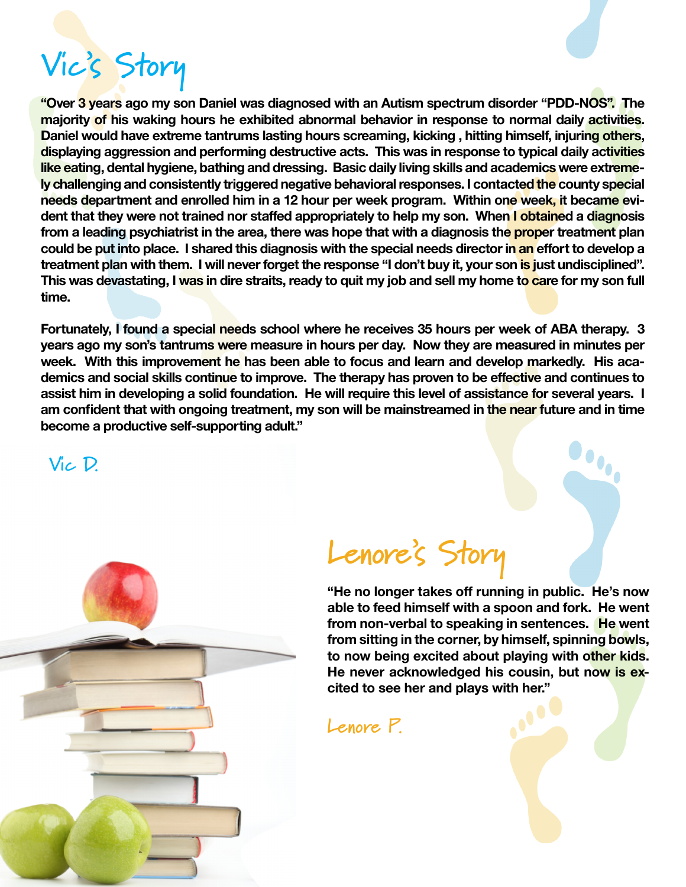# **Vic's Story**

**"Over 3 years ago my son Daniel was diagnosed with an Autism spectrum disorder "PDD-NOS". The majority of his waking hours he exhibited abnormal behavior in response to normal daily activities. Daniel would have extreme tantrums lasting hours screaming, kicking , hitting himself, injuring others, displaying aggression and performing destructive acts. This was in response to typical daily activities like eating, dental hygiene, bathing and dressing. Basic daily living skills and academics were extremely challenging and consistently triggered negative behavioral responses. I contacted the county special needs department and enrolled him in a 12 hour per week program. Within one week, it became evident that they were not trained nor staffed appropriately to help my son. When I obtained a diagnosis from a leading psychiatrist in the area, there was hope that with a diagnosis the proper treatment plan could be put into place. I shared this diagnosis with the special needs director in an effort to develop a treatment plan with them. I will never forget the response "I don't buy it, your son is just undisciplined". This was devastating, I was in dire straits, ready to quit my job and sell my home to care for my son full time.**

**Fortunately, I found a special needs school where he receives 35 hours per week of ABA therapy. 3 years ago my son's tantrums were measure in hours per day. Now they are measured in minutes per week. With this improvement he has been able to focus and learn and develop markedly. His academics and social skills continue to improve. The therapy has proven to be effective and continues to assist him in developing a solid foundation. He will require this level of assistance for several years. I am confident that with ongoing treatment, my son will be mainstreamed in the near future and in time become a productive self-supporting adult."**

 **Vic D.**



### **Lenore's Story**

**"He no longer takes off running in public. He's now able to feed himself with a spoon and fork. He went from non-verbal to speaking in sentences. He went from sitting in the corner, by himself, spinning bowls, to now being excited about playing with other kids. He never acknowledged his cousin, but now is excited to see her and plays with her."**

**Lenore P.**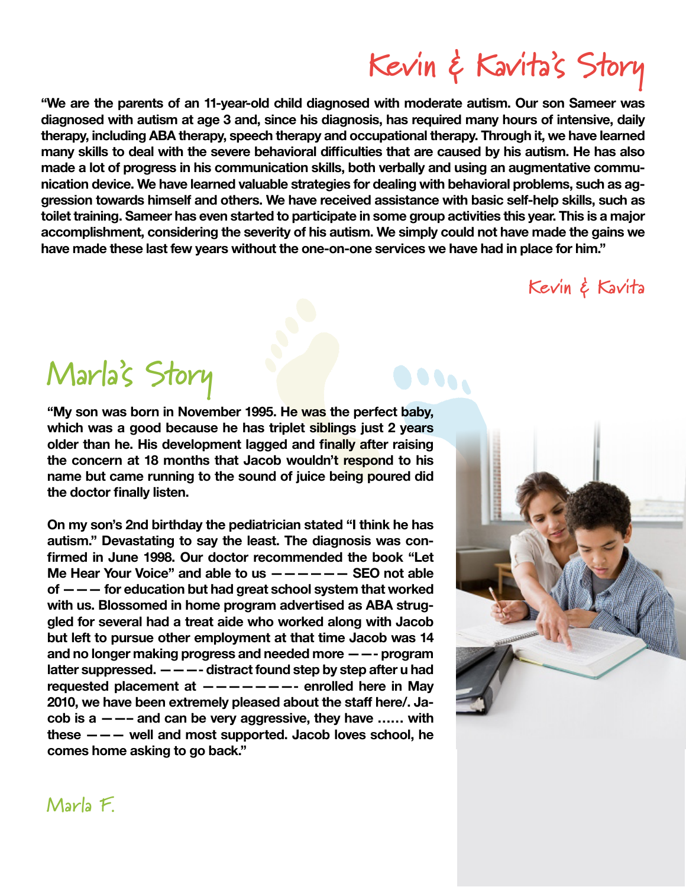**"We are the parents of an 11-year-old child diagnosed with moderate autism. Our son Sameer was diagnosed with autism at age 3 and, since his diagnosis, has required many hours of intensive, daily therapy, including ABA therapy, speech therapy and occupational therapy. Through it, we have learned many skills to deal with the severe behavioral difficulties that are caused by his autism. He has also made a lot of progress in his communication skills, both verbally and using an augmentative communication device. We have learned valuable strategies for dealing with behavioral problems, such as aggression towards himself and others. We have received assistance with basic self-help skills, such as toilet training. Sameer has even started to participate in some group activities this year. This is a major accomplishment, considering the severity of his autism. We simply could not have made the gains we have made these last few years without the one-on-one services we have had in place for him."**

#### **Kevin & Kavita**

**Kevin & Kavita's Story**

### **Marla's Story**

**"My son was born in November 1995. He was the perfect baby, which was a good because he has triplet siblings just 2 years older than he. His development lagged and finally after raising the concern at 18 months that Jacob wouldn't respond to his name but came running to the sound of juice being poured did the doctor finally listen.**

**On my son's 2nd birthday the pediatrician stated "I think he has autism." Devastating to say the least. The diagnosis was confirmed in June 1998. Our doctor recommended the book "Let Me Hear Your Voice" and able to us —————— SEO not able of ——— for education but had great school system that worked with us. Blossomed in home program advertised as ABA struggled for several had a treat aide who worked along with Jacob but left to pursue other employment at that time Jacob was 14 and no longer making progress and needed more ——- program latter suppressed. ———- distract found step by step after u had requested placement at ———————- enrolled here in May 2010, we have been extremely pleased about the staff here/. Jacob is a ——– and can be very aggressive, they have …… with these ——— well and most supported. Jacob loves school, he comes home asking to go back."**



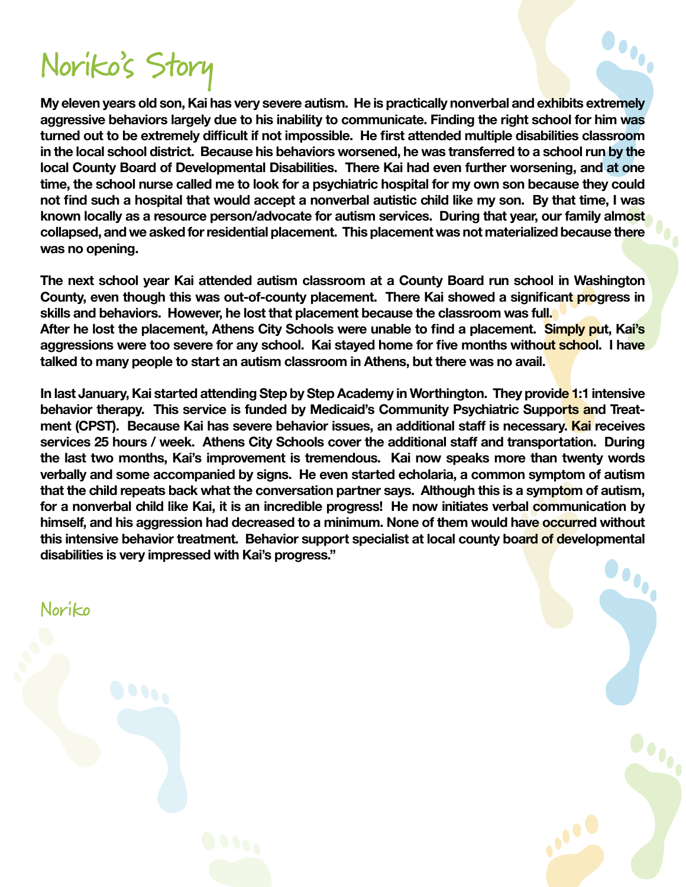## **Noriko's Story**

**My eleven years old son, Kai has very severe autism. He is practically nonverbal and exhibits extremely aggressive behaviors largely due to his inability to communicate. Finding the right school for him was turned out to be extremely difficult if not impossible. He first attended multiple disabilities classroom in the local school district. Because his behaviors worsened, he was transferred to a school run by the local County Board of Developmental Disabilities. There Kai had even further worsening, and at one time, the school nurse called me to look for a psychiatric hospital for my own son because they could not find such a hospital that would accept a nonverbal autistic child like my son. By that time, I was known locally as a resource person/advocate for autism services. During that year, our family almost collapsed, and we asked for residential placement. This placement was not materialized because there was no opening.**

 $\bullet$ 

 $\bullet$ 

**The next school year Kai attended autism classroom at a County Board run school in Washington County, even though this was out-of-county placement. There Kai showed a significant progress in skills and behaviors. However, he lost that placement because the classroom was full. After he lost the placement, Athens City Schools were unable to find a placement. Simply put, Kai's aggressions were too severe for any school. Kai stayed home for five months without school. I have talked to many people to start an autism classroom in Athens, but there was no avail.**

**In last January, Kai started attending Step by Step Academy in Worthington. They provide 1:1 intensive behavior therapy. This service is funded by Medicaid's Community Psychiatric Supports and Treatment (CPST). Because Kai has severe behavior issues, an additional staff is necessary. Kai receives services 25 hours / week. Athens City Schools cover the additional staff and transportation. During the last two months, Kai's improvement is tremendous. Kai now speaks more than twenty words verbally and some accompanied by signs. He even started echolaria, a common symptom of autism that the child repeats back what the conversation partner says. Although this is a symptom of autism, for a nonverbal child like Kai, it is an incredible progress! He now initiates verbal communication by himself, and his aggression had decreased to a minimum. None of them would have occurred without this intensive behavior treatment. Behavior support specialist at local county board of developmental disabilities is very impressed with Kai's progress."**

**Noriko**